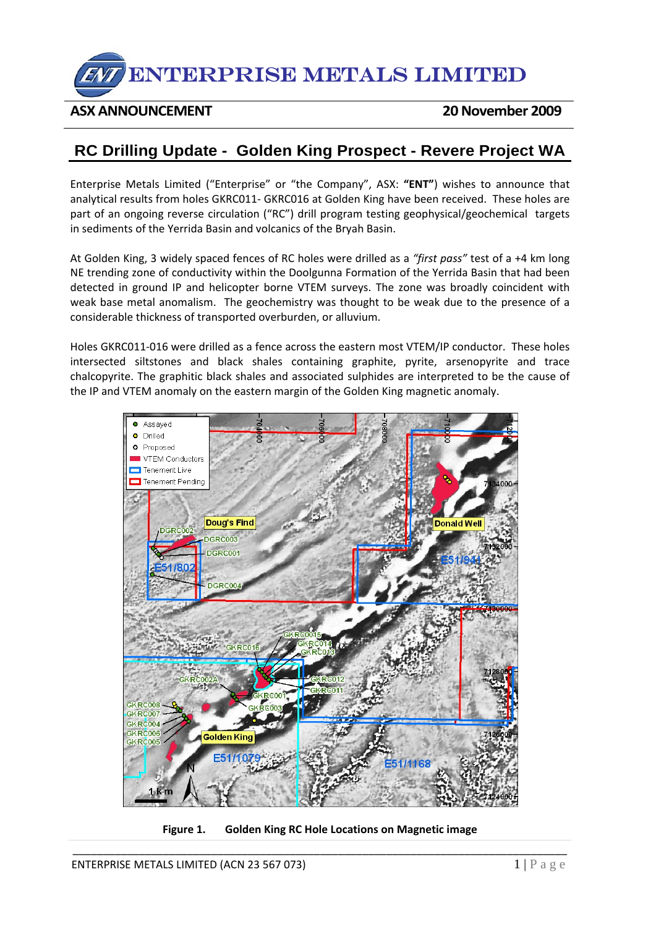

## **ASX ANNOUNCEMENT 20November 2009**

## **RC Drilling Update - Golden King Prospect - Revere Project WA**

Enterprise Metals Limited ("Enterprise" or "the Company", ASX: **"ENT"**) wishes to announce that analytical results from holes GKRC011‐ GKRC016 at Golden King have been received. These holes are part of an ongoing reverse circulation ("RC") drill program testing geophysical/geochemical targets in sediments of the Yerrida Basin and volcanics of the Bryah Basin.

At Golden King, 3 widely spaced fences of RC holes were drilled as a *"first pass"* test of a +4 km long NE trending zone of conductivity within the Doolgunna Formation of the Yerrida Basin that had been detected in ground IP and helicopter borne VTEM surveys. The zone was broadly coincident with weak base metal anomalism. The geochemistry was thought to be weak due to the presence of a considerable thickness of transported overburden, or alluvium.

Holes GKRC011‐016 were drilled as a fence across the eastern most VTEM/IP conductor. These holes intersected siltstones and black shales containing graphite, pyrite, arsenopyrite and trace chalcopyrite. The graphitic black shales and associated sulphides are interpreted to be the cause of the IP and VTEM anomaly on the eastern margin of the Golden King magnetic anomaly.



\_\_\_\_\_\_\_\_\_\_\_\_\_\_\_\_\_\_\_\_\_\_\_\_\_\_\_\_\_\_\_\_\_\_\_\_\_\_\_\_\_\_\_\_\_\_\_\_\_\_\_\_\_\_\_\_\_\_\_\_\_\_\_\_\_\_\_\_\_\_\_\_\_\_\_\_\_\_\_\_\_\_ **Figure 1. Golden King RC Hole Locations on Magnetic image**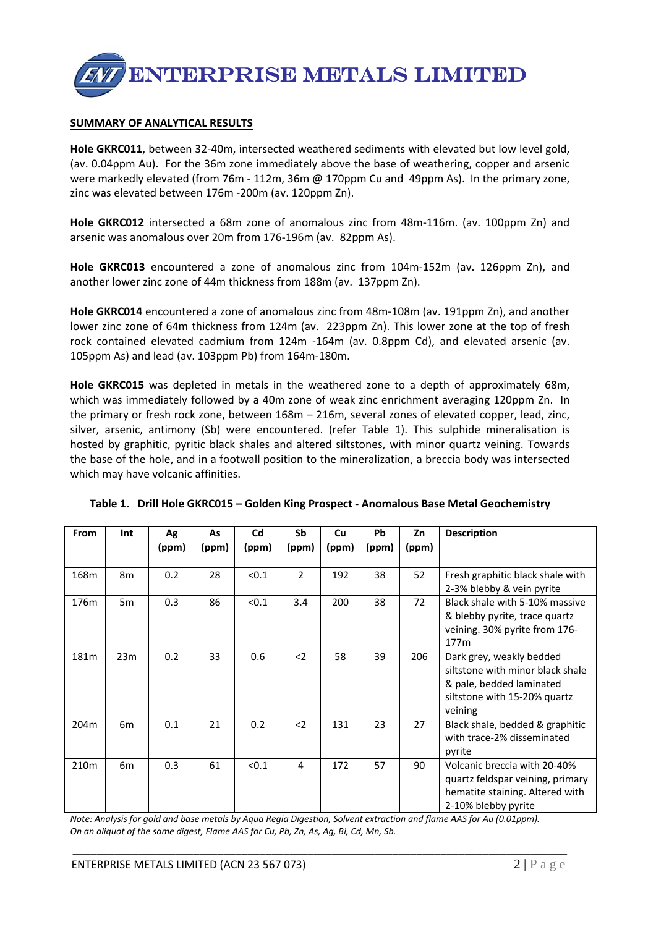

## **SUMMARY OF ANALYTICAL RESULTS**

**Hole GKRC011**, between 32‐40m, intersected weathered sediments with elevated but low level gold, (av. 0.04ppm Au). For the 36m zone immediately above the base of weathering, copper and arsenic were markedly elevated (from 76m - 112m, 36m @ 170ppm Cu and 49ppm As). In the primary zone, zinc was elevated between 176m ‐200m (av. 120ppm Zn).

**Hole GKRC012** intersected a 68m zone of anomalous zinc from 48m-116m. (av. 100ppm Zn) and arsenic was anomalous over 20m from 176‐196m (av. 82ppm As).

**Hole GKRC013** encountered a zone of anomalous zinc from 104m‐152m (av. 126ppm Zn), and another lower zinc zone of 44m thickness from 188m (av. 137ppm Zn).

**Hole GKRC014** encountered a zone of anomalous zinc from 48m‐108m (av. 191ppm Zn), and another lower zinc zone of 64m thickness from 124m (av. 223ppm Zn). This lower zone at the top of fresh rock contained elevated cadmium from 124m -164m (av. 0.8ppm Cd), and elevated arsenic (av. 105ppm As) and lead (av. 103ppm Pb) from 164m‐180m.

**Hole GKRC015** was depleted in metals in the weathered zone to a depth of approximately 68m, which was immediately followed by a 40m zone of weak zinc enrichment averaging 120ppm Zn. In the primary or fresh rock zone, between 168m – 216m, several zones of elevated copper, lead, zinc, silver, arsenic, antimony (Sb) were encountered. (refer Table 1). This sulphide mineralisation is hosted by graphitic, pyritic black shales and altered siltstones, with minor quartz veining. Towards the base of the hole, and in a footwall position to the mineralization, a breccia body was intersected which may have volcanic affinities.

| <b>From</b>      | Int            | Ag    | As    | Cd    | Sb             | Cu    | <b>Pb</b> | Zn    | <b>Description</b>               |
|------------------|----------------|-------|-------|-------|----------------|-------|-----------|-------|----------------------------------|
|                  |                | (ppm) | (ppm) | (ppm) | (ppm)          | (ppm) | (ppm)     | (ppm) |                                  |
|                  |                |       |       |       |                |       |           |       |                                  |
| 168m             | 8 <sub>m</sub> | 0.2   | 28    | < 0.1 | $\overline{2}$ | 192   | 38        | 52    | Fresh graphitic black shale with |
|                  |                |       |       |       |                |       |           |       | 2-3% blebby & vein pyrite        |
| 176m             | 5m             | 0.3   | 86    | < 0.1 | 3.4            | 200   | 38        | 72    | Black shale with 5-10% massive   |
|                  |                |       |       |       |                |       |           |       | & blebby pyrite, trace quartz    |
|                  |                |       |       |       |                |       |           |       | veining. 30% pyrite from 176-    |
|                  |                |       |       |       |                |       |           |       | 177 <sub>m</sub>                 |
| 181m             | 23m            | 0.2   | 33    | 0.6   | $2$            | 58    | 39        | 206   | Dark grey, weakly bedded         |
|                  |                |       |       |       |                |       |           |       | siltstone with minor black shale |
|                  |                |       |       |       |                |       |           |       | & pale, bedded laminated         |
|                  |                |       |       |       |                |       |           |       | siltstone with 15-20% quartz     |
|                  |                |       |       |       |                |       |           |       | veining                          |
| 204m             | 6m             | 0.1   | 21    | 0.2   | $2$            | 131   | 23        | 27    | Black shale, bedded & graphitic  |
|                  |                |       |       |       |                |       |           |       | with trace-2% disseminated       |
|                  |                |       |       |       |                |       |           |       | pyrite                           |
| 210 <sub>m</sub> | 6 <sub>m</sub> | 0.3   | 61    | < 0.1 | 4              | 172   | 57        | 90    | Volcanic breccia with 20-40%     |
|                  |                |       |       |       |                |       |           |       | quartz feldspar veining, primary |
|                  |                |       |       |       |                |       |           |       | hematite staining. Altered with  |
|                  |                |       |       |       |                |       |           |       | 2-10% blebby pyrite              |

**Table 1. Drill Hole GKRC015 – Golden King Prospect ‐ Anomalous Base Metal Geochemistry**

Note: Analysis for gold and base metals by Aqua Regia Digestion, Solvent extraction and flame AAS for Au (0.01ppm). *On an aliquot of the same digest, Flame AAS for Cu, Pb, Zn, As, Ag, Bi, Cd, Mn, Sb.*

\_\_\_\_\_\_\_\_\_\_\_\_\_\_\_\_\_\_\_\_\_\_\_\_\_\_\_\_\_\_\_\_\_\_\_\_\_\_\_\_\_\_\_\_\_\_\_\_\_\_\_\_\_\_\_\_\_\_\_\_\_\_\_\_\_\_\_\_\_\_\_\_\_\_\_\_\_\_\_\_\_\_